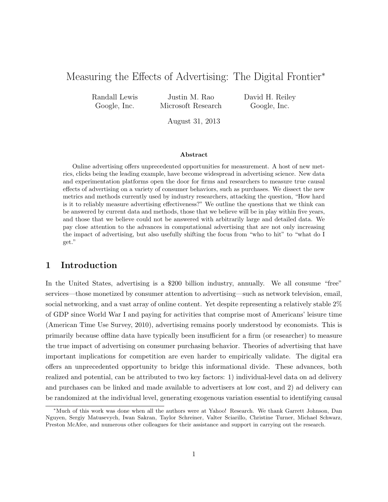# Measuring the Effects of Advertising: The Digital Frontier<sup>\*</sup>

Randall Lewis Google, Inc.

Justin M. Rao Microsoft Research David H. Reiley Google, Inc.

August 31, 2013

#### Abstract

Online advertising offers unprecedented opportunities for measurement. A host of new metrics, clicks being the leading example, have become widespread in advertising science. New data and experimentation platforms open the door for firms and researchers to measure true causal effects of advertising on a variety of consumer behaviors, such as purchases. We dissect the new metrics and methods currently used by industry researchers, attacking the question, "How hard is it to reliably measure advertising effectiveness?" We outline the questions that we think can be answered by current data and methods, those that we believe will be in play within five years, and those that we believe could not be answered with arbitrarily large and detailed data. We pay close attention to the advances in computational advertising that are not only increasing the impact of advertising, but also usefully shifting the focus from "who to hit" to "what do I get."

# 1 Introduction

In the United States, advertising is a \$200 billion industry, annually. We all consume "free" services—those monetized by consumer attention to advertising—such as network television, email, social networking, and a vast array of online content. Yet despite representing a relatively stable 2% of GDP since World War I and paying for activities that comprise most of Americans' leisure time (American Time Use Survey, 2010), advertising remains poorly understood by economists. This is primarily because offline data have typically been insufficient for a firm (or researcher) to measure the true impact of advertising on consumer purchasing behavior. Theories of advertising that have important implications for competition are even harder to empirically validate. The digital era offers an unprecedented opportunity to bridge this informational divide. These advances, both realized and potential, can be attributed to two key factors: 1) individual-level data on ad delivery and purchases can be linked and made available to advertisers at low cost, and 2) ad delivery can be randomized at the individual level, generating exogenous variation essential to identifying causal

<sup>⇤</sup>Much of this work was done when all the authors were at Yahoo! Research. We thank Garrett Johnson, Dan Nguyen, Sergiy Matusevych, Iwan Sakran, Taylor Schreiner, Valter Sciarillo, Christine Turner, Michael Schwarz, Preston McAfee, and numerous other colleagues for their assistance and support in carrying out the research.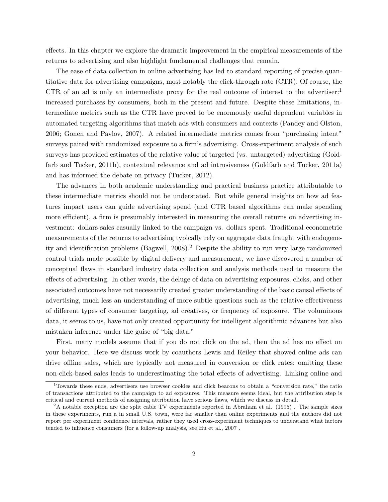effects. In this chapter we explore the dramatic improvement in the empirical measurements of the returns to advertising and also highlight fundamental challenges that remain.

The ease of data collection in online advertising has led to standard reporting of precise quantitative data for advertising campaigns, most notably the click-through rate (CTR). Of course, the CTR of an ad is only an intermediate proxy for the real outcome of interest to the advertiser: increased purchases by consumers, both in the present and future. Despite these limitations, intermediate metrics such as the CTR have proved to be enormously useful dependent variables in automated targeting algorithms that match ads with consumers and contexts (Pandey and Olston, 2006; Gonen and Pavlov, 2007). A related intermediate metrics comes from "purchasing intent" surveys paired with randomized exposure to a firm's advertising. Cross-experiment analysis of such surveys has provided estimates of the relative value of targeted (vs. untargeted) advertising (Goldfarb and Tucker, 2011b), contextual relevance and ad intrusiveness (Goldfarb and Tucker, 2011a) and has informed the debate on privacy (Tucker, 2012).

The advances in both academic understanding and practical business practice attributable to these intermediate metrics should not be understated. But while general insights on how ad features impact users can guide advertising spend (and CTR based algorithms can make spending more efficient), a firm is presumably interested in measuring the overall returns on advertising investment: dollars sales casually linked to the campaign vs. dollars spent. Traditional econometric measurements of the returns to advertising typically rely on aggregate data fraught with endogeneity and identification problems (Bagwell, 2008).<sup>2</sup> Despite the ability to run very large randomized control trials made possible by digital delivery and measurement, we have discovered a number of conceptual flaws in standard industry data collection and analysis methods used to measure the effects of advertising. In other words, the deluge of data on advertising exposures, clicks, and other associated outcomes have not necessarily created greater understanding of the basic causal effects of advertising, much less an understanding of more subtle questions such as the relative effectiveness of different types of consumer targeting, ad creatives, or frequency of exposure. The voluminous data, it seems to us, have not only created opportunity for intelligent algorithmic advances but also mistaken inference under the guise of "big data."

First, many models assume that if you do not click on the ad, then the ad has no effect on your behavior. Here we discuss work by coauthors Lewis and Reiley that showed online ads can drive offline sales, which are typically not measured in conversion or click rates; omitting these non-click-based sales leads to underestimating the total effects of advertising. Linking online and

<sup>1</sup>Towards these ends, advertisers use browser cookies and click beacons to obtain a "conversion rate," the ratio of transactions attributed to the campaign to ad exposures. This measure seems ideal, but the attribution step is critical and current methods of assigning attribution have serious flaws, which we discuss in detail.

 $2A$  notable exception are the split cable TV experiments reported in Abraham et al. (1995). The sample sizes in these experiments, run a in small U.S. town, were far smaller than online experiments and the authors did not report per experiment confidence intervals, rather they used cross-experiment techniques to understand what factors tended to influence consumers (for a follow-up analysis, see Hu et al., 2007 .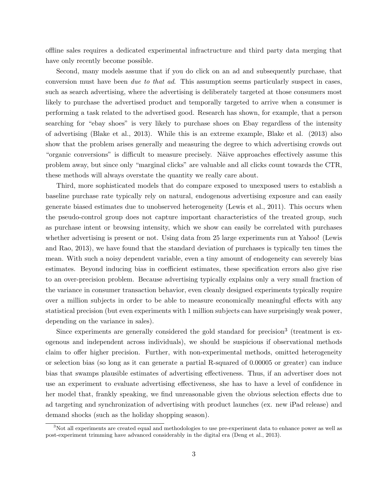offline sales requires a dedicated experimental infractructure and third party data merging that have only recently become possible.

Second, many models assume that if you do click on an ad and subsequently purchase, that conversion must have been *due to that ad*. This assumption seems particularly suspect in cases, such as search advertising, where the advertising is deliberately targeted at those consumers most likely to purchase the advertised product and temporally targeted to arrive when a consumer is performing a task related to the advertised good. Research has shown, for example, that a person searching for "ebay shoes" is very likely to purchase shoes on Ebay regardless of the intensity of advertising (Blake et al., 2013). While this is an extreme example, Blake et al. (2013) also show that the problem arises generally and measuring the degree to which advertising crowds out "organic conversions" is difficult to measure precisely. Näive approaches effectively assume this problem away, but since only "marginal clicks" are valuable and all clicks count towards the CTR, these methods will always overstate the quantity we really care about.

Third, more sophisticated models that do compare exposed to unexposed users to establish a baseline purchase rate typically rely on natural, endogenous advertising exposure and can easily generate biased estimates due to unobserved heterogeneity (Lewis et al., 2011). This occurs when the pseudo-control group does not capture important characteristics of the treated group, such as purchase intent or browsing intensity, which we show can easily be correlated with purchases whether advertising is present or not. Using data from 25 large experiments run at Yahoo! (Lewis and Rao, 2013), we have found that the standard deviation of purchases is typically ten times the mean. With such a noisy dependent variable, even a tiny amount of endogeneity can severely bias estimates. Beyond inducing bias in coefficient estimates, these specification errors also give rise to an over-precision problem. Because advertising typically explains only a very small fraction of the variance in consumer transaction behavior, even cleanly designed experiments typically require over a million subjects in order to be able to measure economically meaningful effects with any statistical precision (but even experiments with 1 million subjects can have surprisingly weak power, depending on the variance in sales).

Since experiments are generally considered the gold standard for precision<sup>3</sup> (treatment is exogenous and independent across individuals), we should be suspicious if observational methods claim to offer higher precision. Further, with non-experimental methods, omitted heterogeneity or selection bias (so long as it can generate a partial R-squared of 0.00005 or greater) can induce bias that swamps plausible estimates of advertising effectiveness. Thus, if an advertiser does not use an experiment to evaluate advertising effectiveness, she has to have a level of confidence in her model that, frankly speaking, we find unreasonable given the obvious selection effects due to ad targeting and synchronization of advertising with product launches (ex. new iPad release) and demand shocks (such as the holiday shopping season).

<sup>&</sup>lt;sup>3</sup>Not all experiments are created equal and methodologies to use pre-experiment data to enhance power as well as post-experiment trimming have advanced considerably in the digital era (Deng et al., 2013).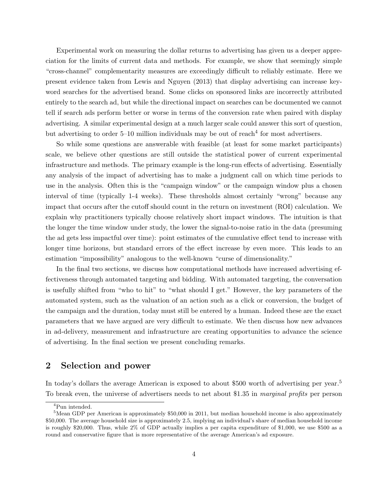Experimental work on measuring the dollar returns to advertising has given us a deeper appreciation for the limits of current data and methods. For example, we show that seemingly simple "cross-channel" complementarity measures are exceedingly difficult to reliably estimate. Here we present evidence taken from Lewis and Nguyen (2013) that display advertising can increase keyword searches for the advertised brand. Some clicks on sponsored links are incorrectly attributed entirely to the search ad, but while the directional impact on searches can be documented we cannot tell if search ads perform better or worse in terms of the conversion rate when paired with display advertising. A similar experimental design at a much larger scale could answer this sort of question, but advertising to order  $5-10$  million individuals may be out of reach<sup>4</sup> for most advertisers.

So while some questions are answerable with feasible (at least for some market participants) scale, we believe other questions are still outside the statistical power of current experimental infrastructure and methods. The primary example is the long-run effects of advertising. Essentially any analysis of the impact of advertising has to make a judgment call on which time periods to use in the analysis. Often this is the "campaign window" or the campaign window plus a chosen interval of time (typically 1-4 weeks). These thresholds almost certainly "wrong" because any impact that occurs after the cutoff should count in the return on investment (ROI) calculation. We explain why practitioners typically choose relatively short impact windows. The intuition is that the longer the time window under study, the lower the signal-to-noise ratio in the data (presuming the ad gets less impactful over time): point estimates of the cumulative effect tend to increase with longer time horizons, but standard errors of the effect increase by even more. This leads to an estimation "impossibility" analogous to the well-known "curse of dimensionality."

In the final two sections, we discuss how computational methods have increased advertising effectiveness through automated targeting and bidding. With automated targeting, the conversation is usefully shifted from "who to hit" to "what should I get." However, the key parameters of the automated system, such as the valuation of an action such as a click or conversion, the budget of the campaign and the duration, today must still be entered by a human. Indeed these are the exact parameters that we have argued are very difficult to estimate. We then discuss how new advances in ad-delivery, measurement and infrastructure are creating opportunities to advance the science of advertising. In the final section we present concluding remarks.

# 2 Selection and power

In today's dollars the average American is exposed to about \$500 worth of advertising per year.<sup>5</sup> To break even, the universe of advertisers needs to net about \$1.35 in *marginal profits* per person

<sup>4</sup>Pun intended.

<sup>&</sup>lt;sup>5</sup>Mean GDP per American is approximately \$50,000 in 2011, but median household income is also approximately \$50,000. The average household size is approximately 2.5, implying an individual's share of median household income is roughly \$20,000. Thus, while 2% of GDP actually implies a per capita expenditure of \$1,000, we use \$500 as a round and conservative figure that is more representative of the average American's ad exposure.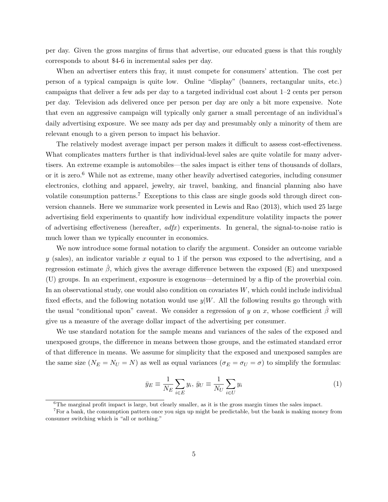per day. Given the gross margins of firms that advertise, our educated guess is that this roughly corresponds to about \$4-6 in incremental sales per day.

When an advertiser enters this fray, it must compete for consumers' attention. The cost per person of a typical campaign is quite low. Online "display" (banners, rectangular units, etc.) campaigns that deliver a few ads per day to a targeted individual cost about 1–2 cents per person per day. Television ads delivered once per person per day are only a bit more expensive. Note that even an aggressive campaign will typically only garner a small percentage of an individual's daily advertising exposure. We see many ads per day and presumably only a minority of them are relevant enough to a given person to impact his behavior.

The relatively modest average impact per person makes it difficult to assess cost-effectiveness. What complicates matters further is that individual-level sales are quite volatile for many advertisers. An extreme example is automobiles—the sales impact is either tens of thousands of dollars, or it is zero.<sup>6</sup> While not as extreme, many other heavily advertised categories, including consumer electronics, clothing and apparel, jewelry, air travel, banking, and financial planning also have volatile consumption patterns.<sup>7</sup> Exceptions to this class are single goods sold through direct conversion channels. Here we summarize work presented in Lewis and Rao (2013), which used 25 large advertising field experiments to quantify how individual expenditure volatility impacts the power of advertising effectiveness (hereafter,  $adfx$ ) experiments. In general, the signal-to-noise ratio is much lower than we typically encounter in economics.

We now introduce some formal notation to clarify the argument. Consider an outcome variable *y* (sales), an indicator variable *x* equal to 1 if the person was exposed to the advertising, and a regression estimate  $\hat{\beta}$ , which gives the average difference between the exposed (E) and unexposed (U) groups. In an experiment, exposure is exogenous—determined by a flip of the proverbial coin. In an observational study, one would also condition on covariates *W*, which could include individual fixed effects, and the following notation would use  $y|W$ . All the following results go through with the usual "conditional upon" caveat. We consider a regression of *y* on *x*, whose coefficient  $\hat{\beta}$  will give us a measure of the average dollar impact of the advertising per consumer.

We use standard notation for the sample means and variances of the sales of the exposed and unexposed groups, the difference in means between those groups, and the estimated standard error of that difference in means. We assume for simplicity that the exposed and unexposed samples are the same size  $(N_E = N_U = N)$  as well as equal variances  $(\sigma_E = \sigma_U = \sigma)$  to simplify the formulas:

$$
\bar{y}_E \equiv \frac{1}{N_E} \sum_{i \in E} y_i, \ \bar{y}_U \equiv \frac{1}{N_U} \sum_{i \in U} y_i \tag{1}
$$

 $6$ The marginal profit impact is large, but clearly smaller, as it is the gross margin times the sales impact.

<sup>&</sup>lt;sup>7</sup>For a bank, the consumption pattern once you sign up might be predictable, but the bank is making money from consumer switching which is "all or nothing."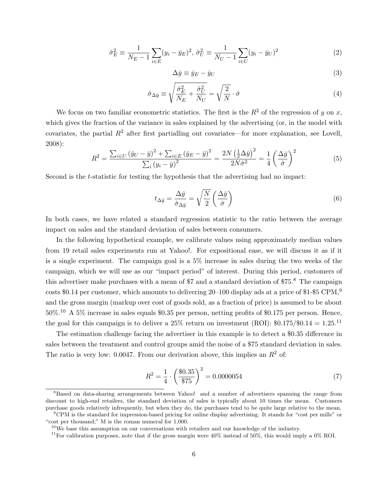$$
\hat{\sigma}_E^2 \equiv \frac{1}{N_E - 1} \sum_{i \in E} (y_i - \bar{y}_E)^2, \ \hat{\sigma}_U^2 \equiv \frac{1}{N_U - 1} \sum_{i \in U} (y_i - \bar{y}_U)^2 \tag{2}
$$

$$
\Delta \bar{y} \equiv \bar{y}_E - \bar{y}_U \tag{3}
$$

$$
\hat{\sigma}_{\Delta \bar{y}} \equiv \sqrt{\frac{\hat{\sigma}_E^2}{N_E} + \frac{\hat{\sigma}_U^2}{N_U}} = \sqrt{\frac{2}{N}} \cdot \hat{\sigma}
$$
\n(4)

We focus on two familiar econometric statistics. The first is the  $R^2$  of the regression of *y* on *x*, which gives the fraction of the variance in sales explained by the advertising (or, in the model with covariates, the partial  $R^2$  after first partialling out covariates—for more explanation, see Lovell, 2008):

$$
R^{2} = \frac{\sum_{i \in U} \left(\bar{y}_{U} - \bar{y}\right)^{2} + \sum_{i \in E} \left(\bar{y}_{E} - \bar{y}\right)^{2}}{\sum_{i} \left(y_{i} - \bar{y}\right)^{2}} = \frac{2N\left(\frac{1}{2}\Delta\bar{y}\right)^{2}}{2N\hat{\sigma}^{2}} = \frac{1}{4}\left(\frac{\Delta\bar{y}}{\hat{\sigma}}\right)^{2}
$$
(5)

Second is the *t*-statistic for testing the hypothesis that the advertising had no impact:

$$
t_{\Delta \bar{y}} = \frac{\Delta \bar{y}}{\hat{\sigma}_{\Delta \bar{y}}} = \sqrt{\frac{N}{2}} \left( \frac{\Delta \bar{y}}{\hat{\sigma}} \right)
$$
 (6)

In both cases, we have related a standard regression statistic to the ratio between the average impact on sales and the standard deviation of sales between consumers.

In the following hypothetical example, we calibrate values using approximately median values from 19 retail sales experiments run at Yahoo!. For expositional ease, we will discuss it as if it is a single experiment. The campaign goal is a 5% increase in sales during the two weeks of the campaign, which we will use as our "impact period" of interest. During this period, customers of this advertiser make purchases with a mean of \$7 and a standard deviation of \$75.<sup>8</sup> The campaign costs \$0.14 per customer, which amounts to delivering 20–100 display ads at a price of \$1-\$5 CPM,<sup>9</sup> and the gross margin (markup over cost of goods sold, as a fraction of price) is assumed to be about 50%.<sup>10</sup> A 5% increase in sales equals \$0.35 per person, netting profits of \$0.175 per person. Hence, the goal for this campaign is to deliver a  $25\%$  return on investment (ROI):  $$0.175/\$0.14 = 1.25$ <sup>11</sup>

The estimation challenge facing the advertiser in this example is to detect a  $$0.35$  difference in sales between the treatment and control groups amid the noise of a \$75 standard deviation in sales. The ratio is very low:  $0.0047$ . From our derivation above, this implies an  $R^2$  of:

$$
R^2 = \frac{1}{4} \cdot \left(\frac{\$0.35}{\$75}\right)^2 = 0.0000054\tag{7}
$$

<sup>&</sup>lt;sup>8</sup>Based on data-sharing arrangements between Yahoo! and a number of advertisers spanning the range from discount to high-end retailers, the standard deviation of sales is typically about 10 times the mean. Customers purchase goods relatively infrequently, but when they do, the purchases tend to be quite large relative to the mean.

<sup>9</sup>CPM is the standard for impression-based pricing for online display advertising. It stands for "cost per mille" or "cost per thousand;" M is the roman numeral for 1,000.

<sup>&</sup>lt;sup>10</sup>We base this assumption on our conversations with retailers and our knowledge of the industry.

<sup>&</sup>lt;sup>11</sup>For calibration purposes, note that if the gross margin were  $40\%$  instead of 50%, this would imply a 0% ROI.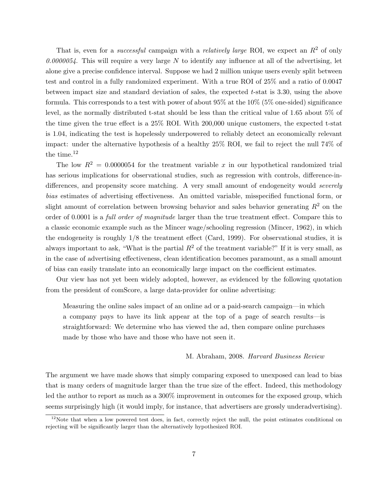That is, even for a *successful* campaign with a *relatively large* ROI, we expect an  $R^2$  of only *0.0000054*. This will require a very large *N* to identify any influence at all of the advertising, let alone give a precise confidence interval. Suppose we had 2 million unique users evenly split between test and control in a fully randomized experiment. With a true ROI of 25% and a ratio of 0.0047 between impact size and standard deviation of sales, the expected *t*-stat is 3.30, using the above formula. This corresponds to a test with power of about 95% at the 10% (5% one-sided) significance level, as the normally distributed t-stat should be less than the critical value of 1.65 about 5% of the time given the true effect is a  $25\%$  ROI. With 200,000 unique customers, the expected t-stat is 1.04, indicating the test is hopelessly underpowered to reliably detect an economically relevant impact: under the alternative hypothesis of a healthy 25% ROI, we fail to reject the null 74% of the time.<sup>12</sup>

The low  $R^2 = 0.0000054$  for the treatment variable x in our hypothetical randomized trial has serious implications for observational studies, such as regression with controls, difference-indifferences, and propensity score matching. A very small amount of endogeneity would *severely bias* estimates of advertising effectiveness. An omitted variable, misspecified functional form, or slight amount of correlation between browsing behavior and sales behavior generating *R*<sup>2</sup> on the order of 0.0001 is a *full order of magnitude* larger than the true treatment effect. Compare this to a classic economic example such as the Mincer wage/schooling regression (Mincer, 1962), in which the endogeneity is roughly  $1/8$  the treatment effect (Card, 1999). For observational studies, it is always important to ask, "What is the partial  $R^2$  of the treatment variable?" If it is very small, as in the case of advertising effectiveness, clean identification becomes paramount, as a small amount of bias can easily translate into an economically large impact on the coefficient estimates.

Our view has not yet been widely adopted, however, as evidenced by the following quotation from the president of comScore, a large data-provider for online advertising:

Measuring the online sales impact of an online ad or a paid-search campaign—in which a company pays to have its link appear at the top of a page of search results—is straightforward: We determine who has viewed the ad, then compare online purchases made by those who have and those who have not seen it.

#### M. Abraham, 2008. *Harvard Business Review*

The argument we have made shows that simply comparing exposed to unexposed can lead to bias that is many orders of magnitude larger than the true size of the effect. Indeed, this methodology led the author to report as much as a 300% improvement in outcomes for the exposed group, which seems surprisingly high (it would imply, for instance, that advertisers are grossly underadvertising).

 $12$ Note that when a low powered test does, in fact, correctly reject the null, the point estimates conditional on rejecting will be significantly larger than the alternatively hypothesized ROI.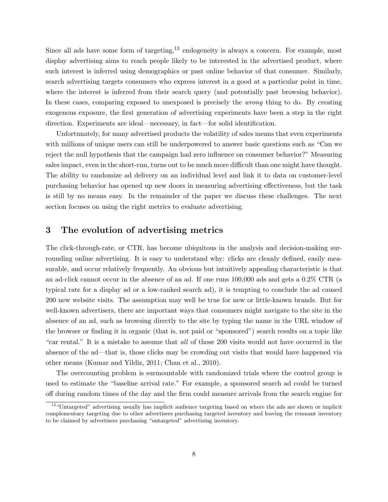Since all ads have some form of targeting, $13$  endogeneity is always a concern. For example, most display advertising aims to reach people likely to be interested in the advertised product, where such interest is inferred using demographics or past online behavior of that consumer. Similarly, search advertising targets consumers who express interest in a good at a particular point in time, where the interest is inferred from their search query (and potentially past browsing behavior). In these cases, comparing exposed to unexposed is precisely the *wrong* thing to do. By creating exogenous exposure, the first generation of advertising experiments have been a step in the right direction. Experiments are ideal—necessary, in fact—for solid identification.

Unfortunately, for many advertised products the volatility of sales means that even experiments with millions of unique users can still be underpowered to answer basic questions such as "Can we reject the null hypothesis that the campaign had zero influence on consumer behavior?" Measuring sales impact, even in the short-run, turns out to be much more difficult than one might have thought. The ability to randomize ad delivery on an individual level and link it to data on customer-level purchasing behavior has opened up new doors in measuring advertising effectiveness, but the task is still by no means easy. In the remainder of the paper we discuss these challenges. The next section focuses on using the right metrics to evaluate advertising.

#### 3 The evolution of advertising metrics

The click-through-rate, or CTR, has become ubiquitous in the analysis and decision-making surrounding online advertising. It is easy to understand why: clicks are cleanly defined, easily measurable, and occur relatively frequently. An obvious but intuitively appealing characteristic is that an ad-click cannot occur in the absence of an ad. If one runs 100,000 ads and gets a 0.2% CTR (a typical rate for a display ad or a low-ranked search ad), it is tempting to conclude the ad caused 200 new website visits. The assumption may well be true for new or little-known brands. But for well-known advertisers, there are important ways that consumers might navigate to the site in the absence of an ad, such as browsing directly to the site by typing the name in the URL window of the browser or finding it in organic (that is, not paid or "sponsored") search results on a topic like "car rental." It is a mistake to assume that *all* of those 200 visits would not have occurred in the absence of the ad—that is, those clicks may be crowding out visits that would have happened via other means (Kumar and Yildiz, 2011; Chan et al., 2010).

The overcounting problem is surmountable with randomized trials where the control group is used to estimate the "baseline arrival rate." For example, a sponsored search ad could be turned off during random times of the day and the firm could measure arrivals from the search engine for

<sup>&</sup>lt;sup>13</sup>"Untargeted" advertising usually has implicit audience targeting based on where the ads are shown or implicit complementary targeting due to other advertisers purchasing targeted inventory and leaving the remnant inventory to be claimed by advertisers purchasing "untargeted" advertising inventory.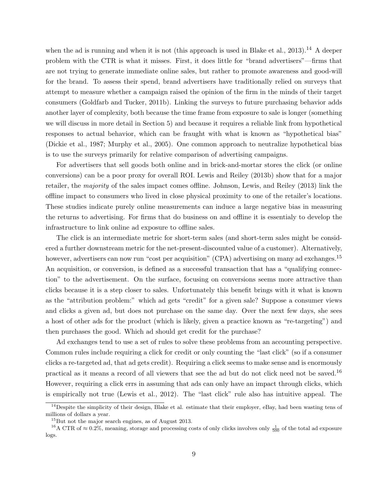when the ad is running and when it is not (this approach is used in Blake et al.,  $2013$ ).<sup>14</sup> A deeper problem with the CTR is what it misses. First, it does little for "brand advertisers"—firms that are not trying to generate immediate online sales, but rather to promote awareness and good-will for the brand. To assess their spend, brand advertisers have traditionally relied on surveys that attempt to measure whether a campaign raised the opinion of the firm in the minds of their target consumers (Goldfarb and Tucker, 2011b). Linking the surveys to future purchasing behavior adds another layer of complexity, both because the time frame from exposure to sale is longer (something we will discuss in more detail in Section 5) and because it requires a reliable link from hypothetical responses to actual behavior, which can be fraught with what is known as "hypothetical bias" (Dickie et al., 1987; Murphy et al., 2005). One common approach to neutralize hypothetical bias is to use the surveys primarily for relative comparison of advertising campaigns.

For advertisers that sell goods both online and in brick-and-mortar stores the click (or online conversions) can be a poor proxy for overall ROI. Lewis and Reiley (2013b) show that for a major retailer, the *majority* of the sales impact comes offline. Johnson, Lewis, and Reiley (2013) link the o✏ine impact to consumers who lived in close physical proximity to one of the retailer's locations. These studies indicate purely online measurements can induce a large negative bias in measuring the returns to advertising. For firms that do business on and offline it is essentialy to develop the infrastructure to link online ad exposure to offline sales.

The click is an intermediate metric for short-term sales (and short-term sales might be considered a further downstream metric for the net-present-discounted value of a customer). Alternatively, however, advertisers can now run "cost per acquisition" (CPA) advertising on many ad exchanges.<sup>15</sup> An acquisition, or conversion, is defined as a successful transaction that has a "qualifying connection" to the advertisement. On the surface, focusing on conversions seems more attractive than clicks because it is a step closer to sales. Unfortunately this benefit brings with it what is known as the "attribution problem:" which ad gets "credit" for a given sale? Suppose a consumer views and clicks a given ad, but does not purchase on the same day. Over the next few days, she sees a host of other ads for the product (which is likely, given a practice known as "re-targeting") and then purchases the good. Which ad should get credit for the purchase?

Ad exchanges tend to use a set of rules to solve these problems from an accounting perspective. Common rules include requiring a click for credit or only counting the "last click" (so if a consumer clicks a re-targeted ad, that ad gets credit). Requiring a click seems to make sense and is enormously practical as it means a record of all viewers that see the ad but do not click need not be saved.<sup>16</sup> However, requiring a click errs in assuming that ads can only have an impact through clicks, which is empirically not true (Lewis et al., 2012). The "last click" rule also has intuitive appeal. The

 $14$ Despite the simplicity of their design, Blake et al. estimate that their employer, eBay, had been wasting tens of millions of dollars a year.

<sup>15</sup>But not the major search engines, as of August 2013.

<sup>&</sup>lt;sup>16</sup>A CTR of  $\approx 0.2\%$ , meaning, storage and processing costs of only clicks involves only  $\frac{1}{500}$  of the total ad exposure logs.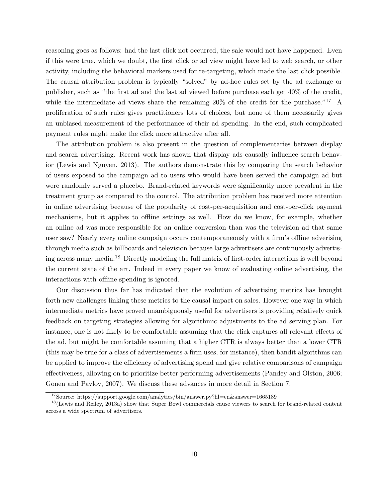reasoning goes as follows: had the last click not occurred, the sale would not have happened. Even if this were true, which we doubt, the first click or ad view might have led to web search, or other activity, including the behavioral markers used for re-targeting, which made the last click possible. The causal attribution problem is typically "solved" by ad-hoc rules set by the ad exchange or publisher, such as "the first ad and the last ad viewed before purchase each get 40% of the credit, while the intermediate ad views share the remaining  $20\%$  of the credit for the purchase."<sup>17</sup> A proliferation of such rules gives practitioners lots of choices, but none of them necessarily gives an unbiased measurement of the performance of their ad spending. In the end, such complicated payment rules might make the click more attractive after all.

The attribution problem is also present in the question of complementaries between display and search advertising. Recent work has shown that display ads causally influence search behavior (Lewis and Nguyen, 2013). The authors demonstrate this by comparing the search behavior of users exposed to the campaign ad to users who would have been served the campaign ad but were randomly served a placebo. Brand-related keywords were significantly more prevalent in the treatment group as compared to the control. The attribution problem has received more attention in online advertising because of the popularity of cost-per-acquisition and cost-per-click payment mechanisms, but it applies to offline settings as well. How do we know, for example, whether an online ad was more responsible for an online conversion than was the television ad that same user saw? Nearly every online campaign occurs contemporaneously with a firm's offline adverising through media such as billboards and television because large advertisers are continuously advertising across many media.<sup>18</sup> Directly modeling the full matrix of first-order interactions is well beyond the current state of the art. Indeed in every paper we know of evaluating online advertising, the interactions with offline spending is ignored.

Our discussion thus far has indicated that the evolution of advertising metrics has brought forth new challenges linking these metrics to the causal impact on sales. However one way in which intermediate metrics have proved unambiguously useful for advertisers is providing relatively quick feedback on targeting strategies allowing for algorithmic adjustments to the ad serving plan. For instance, one is not likely to be comfortable assuming that the click captures all relevant effects of the ad, but might be comfortable assuming that a higher CTR is always better than a lower CTR (this may be true for a class of advertisements a firm uses, for instance), then bandit algorithms can be applied to improve the efficiency of advertising spend and give relative comparisons of campaign effectiveness, allowing on to prioritize better performing advertisements (Pandey and Olston, 2006; Gonen and Pavlov, 2007). We discuss these advances in more detail in Section 7.

<sup>17</sup>Source: https://support.google.com/analytics/bin/answer.py?hl=en&answer=1665189

<sup>&</sup>lt;sup>18</sup>(Lewis and Reiley, 2013a) show that Super Bowl commercials cause viewers to search for brand-related content across a wide spectrum of advertisers.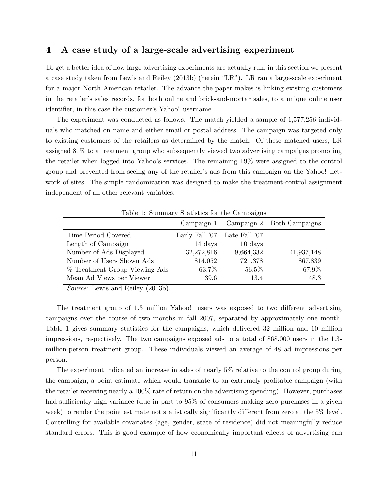#### 4 A case study of a large-scale advertising experiment

To get a better idea of how large advertising experiments are actually run, in this section we present a case study taken from Lewis and Reiley (2013b) (herein "LR"). LR ran a large-scale experiment for a major North American retailer. The advance the paper makes is linking existing customers in the retailer's sales records, for both online and brick-and-mortar sales, to a unique online user identifier, in this case the customer's Yahoo! username.

The experiment was conducted as follows. The match yielded a sample of 1,577,256 individuals who matched on name and either email or postal address. The campaign was targeted only to existing customers of the retailers as determined by the match. Of these matched users, LR assigned 81% to a treatment group who subsequently viewed two advertising campaigns promoting the retailer when logged into Yahoo's services. The remaining 19% were assigned to the control group and prevented from seeing any of the retailer's ads from this campaign on the Yahoo! network of sites. The simple randomization was designed to make the treatment-control assignment independent of all other relevant variables.

| Table 1: Summary Statistics for the Campaigns                                                                                                                                                                                                                                                                                    |                |                      |                           |
|----------------------------------------------------------------------------------------------------------------------------------------------------------------------------------------------------------------------------------------------------------------------------------------------------------------------------------|----------------|----------------------|---------------------------|
|                                                                                                                                                                                                                                                                                                                                  | Campaign 1     |                      | Campaign 2 Both Campaigns |
| Time Period Covered                                                                                                                                                                                                                                                                                                              | Early Fall '07 | Late Fall '07        |                           |
| Length of Campaign                                                                                                                                                                                                                                                                                                               | 14 days        | $10 \ \mathrm{days}$ |                           |
| Number of Ads Displayed                                                                                                                                                                                                                                                                                                          | 32,272,816     | 9,664,332            | 41,937,148                |
| Number of Users Shown Ads                                                                                                                                                                                                                                                                                                        | 814,052        | 721,378              | 867,839                   |
| % Treatment Group Viewing Ads                                                                                                                                                                                                                                                                                                    | 63.7%          | 56.5%                | 67.9%                     |
| Mean Ad Views per Viewer                                                                                                                                                                                                                                                                                                         | 39.6           | 13.4                 | 48.3                      |
| $\alpha$ $\mathbf{r}$ $\mathbf{r}$ $\mathbf{r}$ $\mathbf{r}$ $\mathbf{r}$ $\mathbf{r}$ $\mathbf{r}$ $\mathbf{r}$ $\mathbf{r}$ $\mathbf{r}$ $\mathbf{r}$ $\mathbf{r}$ $\mathbf{r}$ $\mathbf{r}$ $\mathbf{r}$ $\mathbf{r}$ $\mathbf{r}$ $\mathbf{r}$ $\mathbf{r}$ $\mathbf{r}$ $\mathbf{r}$ $\mathbf{r}$ $\mathbf{r}$ $\mathbf{r}$ |                |                      |                           |

*Source*: Lewis and Reiley (2013b).

The treatment group of 1.3 million Yahoo! users was exposed to two different advertising campaigns over the course of two months in fall 2007, separated by approximately one month. Table 1 gives summary statistics for the campaigns, which delivered 32 million and 10 million impressions, respectively. The two campaigns exposed ads to a total of 868,000 users in the 1.3 million-person treatment group. These individuals viewed an average of 48 ad impressions per person.

The experiment indicated an increase in sales of nearly 5% relative to the control group during the campaign, a point estimate which would translate to an extremely profitable campaign (with the retailer receiving nearly a 100% rate of return on the advertising spending). However, purchases had sufficiently high variance (due in part to  $95\%$  of consumers making zero purchases in a given week) to render the point estimate not statistically significantly different from zero at the  $5\%$  level. Controlling for available covariates (age, gender, state of residence) did not meaningfully reduce standard errors. This is good example of how economically important effects of advertising can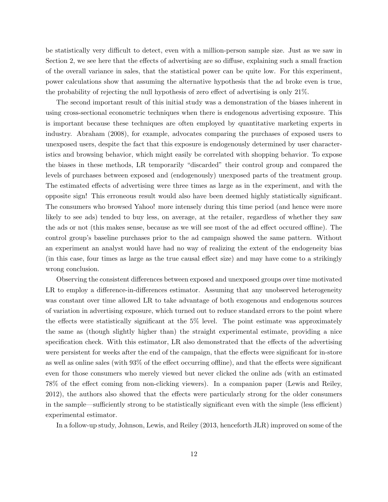be statistically very difficult to detect, even with a million-person sample size. Just as we saw in Section 2, we see here that the effects of advertising are so diffuse, explaining such a small fraction of the overall variance in sales, that the statistical power can be quite low. For this experiment, power calculations show that assuming the alternative hypothesis that the ad broke even is true, the probability of rejecting the null hypothesis of zero effect of advertising is only  $21\%$ .

The second important result of this initial study was a demonstration of the biases inherent in using cross-sectional econometric techniques when there is endogenous advertising exposure. This is important because these techniques are often employed by quantitative marketing experts in industry. Abraham (2008), for example, advocates comparing the purchases of exposed users to unexposed users, despite the fact that this exposure is endogenously determined by user characteristics and browsing behavior, which might easily be correlated with shopping behavior. To expose the biases in these methods, LR temporarily "discarded" their control group and compared the levels of purchases between exposed and (endogenously) unexposed parts of the treatment group. The estimated effects of advertising were three times as large as in the experiment, and with the opposite sign! This erroneous result would also have been deemed highly statistically significant. The consumers who browsed Yahoo! more intensely during this time period (and hence were more likely to see ads) tended to buy less, on average, at the retailer, regardless of whether they saw the ads or not (this makes sense, because as we will see most of the ad effect occured offline). The control group's baseline purchases prior to the ad campaign showed the same pattern. Without an experiment an analyst would have had no way of realizing the extent of the endogeneity bias  $(in this case, four times as large as the true causal effect size) and may have come to a strikingly$ wrong conclusion.

Observing the consistent differences between exposed and unexposed groups over time motivated LR to employ a difference-in-differences estimator. Assuming that any unobserved heterogeneity was constant over time allowed LR to take advantage of both exogenous and endogenous sources of variation in advertising exposure, which turned out to reduce standard errors to the point where the effects were statistically significant at the  $5\%$  level. The point estimate was approximately the same as (though slightly higher than) the straight experimental estimate, providing a nice specification check. With this estimator, LR also demonstrated that the effects of the advertising were persistent for weeks after the end of the campaign, that the effects were significant for in-store as well as online sales (with  $93\%$  of the effect occurring offline), and that the effects were significant even for those consumers who merely viewed but never clicked the online ads (with an estimated 78% of the effect coming from non-clicking viewers). In a companion paper (Lewis and Reiley, 2012), the authors also showed that the effects were particularly strong for the older consumers in the sample—sufficiently strong to be statistically significant even with the simple (less efficient) experimental estimator.

In a follow-up study, Johnson, Lewis, and Reiley (2013, henceforth JLR) improved on some of the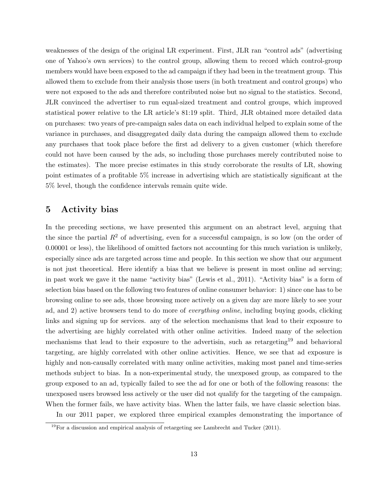weaknesses of the design of the original LR experiment. First, JLR ran "control ads" (advertising one of Yahoo's own services) to the control group, allowing them to record which control-group members would have been exposed to the ad campaign if they had been in the treatment group. This allowed them to exclude from their analysis those users (in both treatment and control groups) who were not exposed to the ads and therefore contributed noise but no signal to the statistics. Second, JLR convinced the advertiser to run equal-sized treatment and control groups, which improved statistical power relative to the LR article's 81:19 split. Third, JLR obtained more detailed data on purchases: two years of pre-campaign sales data on each individual helped to explain some of the variance in purchases, and disaggregated daily data during the campaign allowed them to exclude any purchases that took place before the first ad delivery to a given customer (which therefore could not have been caused by the ads, so including those purchases merely contributed noise to the estimates). The more precise estimates in this study corroborate the results of LR, showing point estimates of a profitable 5% increase in advertising which are statistically significant at the 5% level, though the confidence intervals remain quite wide.

### 5 Activity bias

In the preceding sections, we have presented this argument on an abstract level, arguing that the since the partial  $R^2$  of advertising, even for a successful campaign, is so low (on the order of 0.00001 or less), the likelihood of omitted factors not accounting for this much variation is unlikely, especially since ads are targeted across time and people. In this section we show that our argument is not just theoretical. Here identify a bias that we believe is present in most online ad serving; in past work we gave it the name "activity bias" (Lewis et al., 2011). "Activity bias" is a form of selection bias based on the following two features of online consumer behavior: 1) since one has to be browsing online to see ads, those browsing more actively on a given day are more likely to see your ad, and 2) active browsers tend to do more of *everything online*, including buying goods, clicking links and signing up for services. any of the selection mechanisms that lead to their exposure to the advertising are highly correlated with other online activities. Indeed many of the selection mechanisms that lead to their exposure to the advertisin, such as retargeting<sup>19</sup> and behavioral targeting, are highly correlated with other online activities. Hence, we see that ad exposure is highly and non-causally correlated with many online activities, making most panel and time-series methods subject to bias. In a non-experimental study, the unexposed group, as compared to the group exposed to an ad, typically failed to see the ad for one or both of the following reasons: the unexposed users browsed less actively or the user did not qualify for the targeting of the campaign. When the former fails, we have activity bias. When the latter fails, we have classic selection bias.

In our 2011 paper, we explored three empirical examples demonstrating the importance of

<sup>19</sup>For a discussion and empirical analysis of retargeting see Lambrecht and Tucker (2011).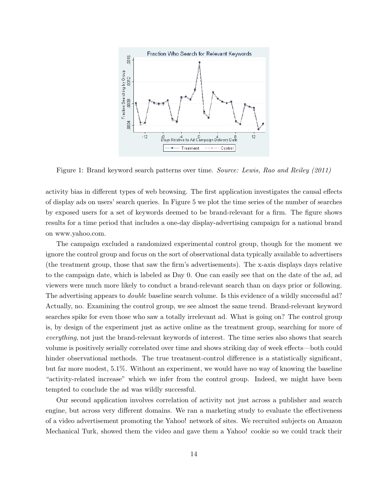

Figure 1: Brand keyword search patterns over time. *Source: Lewis, Rao and Reiley (2011)*

activity bias in different types of web browsing. The first application investigates the causal effects of display ads on users' search queries. In Figure 5 we plot the time series of the number of searches by exposed users for a set of keywords deemed to be brand-relevant for a firm. The figure shows results for a time period that includes a one-day display-advertising campaign for a national brand on www.yahoo.com.

The campaign excluded a randomized experimental control group, though for the moment we ignore the control group and focus on the sort of observational data typically available to advertisers (the treatment group, those that saw the firm's advertisements). The x-axis displays days relative to the campaign date, which is labeled as Day 0. One can easily see that on the date of the ad, ad viewers were much more likely to conduct a brand-relevant search than on days prior or following. The advertising appears to *double* baseline search volume. Is this evidence of a wildly successful ad? Actually, no. Examining the control group, we see almost the same trend. Brand-relevant keyword searches spike for even those who saw a totally irrelevant ad. What is going on? The control group is, by design of the experiment just as active online as the treatment group, searching for more of *everything*, not just the brand-relevant keywords of interest. The time series also shows that search volume is positively serially correlated over time and shows striking day of week effects—both could hinder observational methods. The true treatment-control difference is a statistically significant, but far more modest, 5.1%. Without an experiment, we would have no way of knowing the baseline "activity-related increase" which we infer from the control group. Indeed, we might have been tempted to conclude the ad was wildly successful.

Our second application involves correlation of activity not just across a publisher and search engine, but across very different domains. We ran a marketing study to evaluate the effectiveness of a video advertisement promoting the Yahoo! network of sites. We recruited subjects on Amazon Mechanical Turk, showed them the video and gave them a Yahoo! cookie so we could track their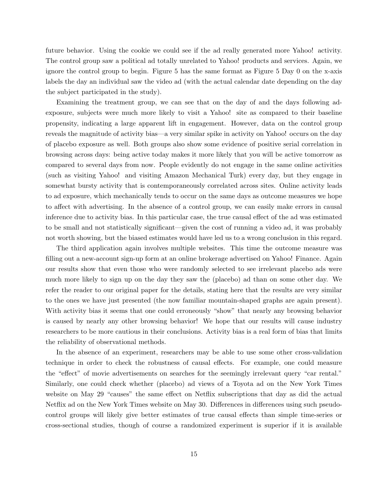future behavior. Using the cookie we could see if the ad really generated more Yahoo! activity. The control group saw a political ad totally unrelated to Yahoo! products and services. Again, we ignore the control group to begin. Figure 5 has the same format as Figure 5 Day 0 on the x-axis labels the day an individual saw the video ad (with the actual calendar date depending on the day the subject participated in the study).

Examining the treatment group, we can see that on the day of and the days following adexposure, subjects were much more likely to visit a Yahoo! site as compared to their baseline propensity, indicating a large apparent lift in engagement. However, data on the control group reveals the magnitude of activity bias—a very similar spike in activity on Yahoo! occurs on the day of placebo exposure as well. Both groups also show some evidence of positive serial correlation in browsing across days: being active today makes it more likely that you will be active tomorrow as compared to several days from now. People evidently do not engage in the same online activities (such as visiting Yahoo! and visiting Amazon Mechanical Turk) every day, but they engage in somewhat bursty activity that is contemporaneously correlated across sites. Online activity leads to ad exposure, which mechanically tends to occur on the same days as outcome measures we hope to affect with advertising. In the absence of a control group, we can easily make errors in causal inference due to activity bias. In this particular case, the true causal effect of the ad was estimated to be small and not statistically significant—given the cost of running a video ad, it was probably not worth showing, but the biased estimates would have led us to a wrong conclusion in this regard.

The third application again involves multiple websites. This time the outcome measure was filling out a new-account sign-up form at an online brokerage advertised on Yahoo! Finance. Again our results show that even those who were randomly selected to see irrelevant placebo ads were much more likely to sign up on the day they saw the (placebo) ad than on some other day. We refer the reader to our original paper for the details, stating here that the results are very similar to the ones we have just presented (the now familiar mountain-shaped graphs are again present). With activity bias it seems that one could erroneously "show" that nearly any browsing behavior is caused by nearly any other browsing behavior! We hope that our results will cause industry researchers to be more cautious in their conclusions. Activity bias is a real form of bias that limits the reliability of observational methods.

In the absence of an experiment, researchers may be able to use some other cross-validation technique in order to check the robustness of causal effects. For example, one could measure the "effect" of movie advertisements on searches for the seemingly irrelevant query "car rental." Similarly, one could check whether (placebo) ad views of a Toyota ad on the New York Times website on May 29 "causes" the same effect on Netflix subscriptions that day as did the actual Netflix ad on the New York Times website on May 30. Differences in differences using such pseudocontrol groups will likely give better estimates of true causal effects than simple time-series or cross-sectional studies, though of course a randomized experiment is superior if it is available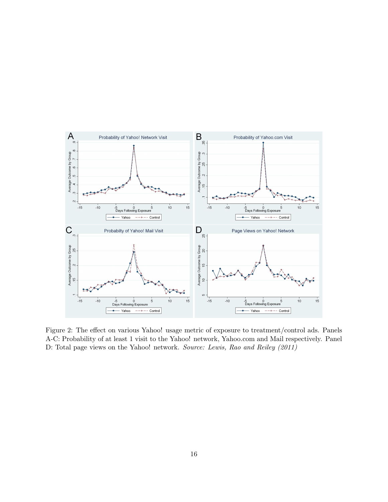

Figure 2: The effect on various Yahoo! usage metric of exposure to treatment/control ads. Panels A-C: Probability of at least 1 visit to the Yahoo! network, Yahoo.com and Mail respectively. Panel D: Total page views on the Yahoo! network. *Source: Lewis, Rao and Reiley (2011)*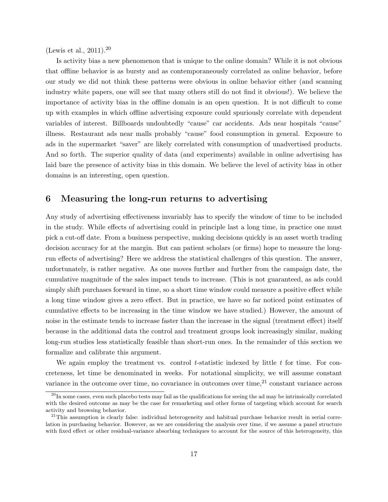(Lewis et al., 2011).<sup>20</sup>

Is activity bias a new phenomenon that is unique to the online domain? While it is not obvious that offline behavior is as bursty and as contemporaneously correlated as online behavior, before our study we did not think these patterns were obvious in online behavior either (and scanning industry white papers, one will see that many others still do not find it obvious!). We believe the importance of activity bias in the offline domain is an open question. It is not difficult to come up with examples in which offline advertising exposure could spuriously correlate with dependent variables of interest. Billboards undoubtedly "cause" car accidents. Ads near hospitals "cause" illness. Restaurant ads near malls probably "cause" food consumption in general. Exposure to ads in the supermarket "saver" are likely correlated with consumption of unadvertised products. And so forth. The superior quality of data (and experiments) available in online advertising has laid bare the presence of activity bias in this domain. We believe the level of activity bias in other domains is an interesting, open question.

### 6 Measuring the long-run returns to advertising

Any study of advertising effectiveness invariably has to specify the window of time to be included in the study. While effects of advertising could in principle last a long time, in practice one must pick a cut-off date. From a business perspective, making decisions quickly is an asset worth trading decision accuracy for at the margin. But can patient scholars (or firms) hope to measure the longrun effects of advertising? Here we address the statistical challenges of this question. The answer, unfortunately, is rather negative. As one moves further and further from the campaign date, the cumulative magnitude of the sales impact tends to increase. (This is not guaranteed, as ads could simply shift purchases forward in time, so a short time window could measure a positive effect while a long time window gives a zero effect. But in practice, we have so far noticed point estimates of cumulative effects to be increasing in the time window we have studied.) However, the amount of noise in the estimate tends to increase faster than the increase in the signal (treatment effect) itself because in the additional data the control and treatment groups look increasingly similar, making long-run studies less statistically feasible than short-run ones. In the remainder of this section we formalize and calibrate this argument.

We again employ the treatment vs. control *t*-statistic indexed by little *t* for time. For concreteness, let time be denominated in weeks. For notational simplicity, we will assume constant variance in the outcome over time, no covariance in outcomes over time,  $2<sup>1</sup>$  constant variance across

 $^{20}$ In some cases, even such placebo tests may fail as the qualifications for seeing the ad may be intrinsically correlated with the desired outcome as may be the case for remarketing and other forms of targeting which account for search activity and browsing behavior.

 $21$ This assumption is clearly false: individual heterogeneity and habitual purchase behavior result in serial correlation in purchasing behavior. However, as we are considering the analysis over time, if we assume a panel structure with fixed effect or other residual-variance absorbing techniques to account for the source of this heterogeneity, this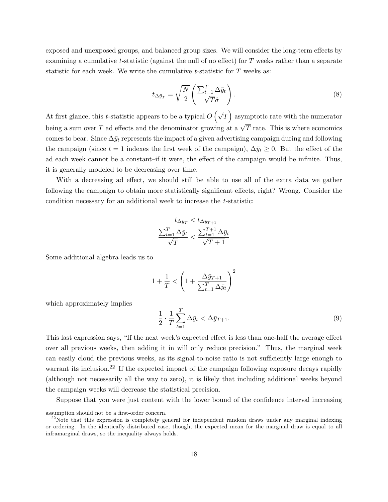exposed and unexposed groups, and balanced group sizes. We will consider the long-term effects by examining a cumulative  $t$ -statistic (against the null of no effect) for  $T$  weeks rather than a separate statistic for each week. We write the cumulative *t*-statistic for *T* weeks as:

$$
t_{\Delta \bar{y}_T} = \sqrt{\frac{N}{2}} \left( \frac{\sum_{t=1}^T \Delta \bar{y}_t}{\sqrt{T} \hat{\sigma}} \right).
$$
\n(8)

At first glance, this *t*-statistic appears to be a typical  $O(\sqrt{T})$  asymptotic rate with the numerator being a sum over *T* ad effects and the denominator growing at a  $\sqrt{T}$  rate. This is where economics comes to bear. Since  $\Delta \bar{y}_t$  represents the impact of a given advertising campaign during and following the campaign (since  $t = 1$  indexes the first week of the campaign),  $\Delta \bar{y}_t \geq 0$ . But the effect of the ad each week cannot be a constant–if it were, the effect of the campaign would be infinite. Thus, it is generally modeled to be decreasing over time.

With a decreasing ad effect, we should still be able to use all of the extra data we gather following the campaign to obtain more statistically significant effects, right? Wrong. Consider the condition necessary for an additional week to increase the *t*-statistic:

$$
t_{\Delta \bar{y}_T} < t_{\Delta \bar{y}_{T+1}} \\
\frac{\sum_{t=1}^T \Delta \bar{y}_t}{\sqrt{T}} < \frac{\sum_{t=1}^{T+1} \Delta \bar{y}_t}{\sqrt{T+1}}
$$

Some additional algebra leads us to

$$
1 + \frac{1}{T} < \left( 1 + \frac{\Delta \bar{y}_{T+1}}{\sum_{t=1}^{T} \Delta \bar{y}_t} \right)^2
$$

which approximately implies

$$
\frac{1}{2} \cdot \frac{1}{T} \sum_{t=1}^{T} \Delta \bar{y}_t < \Delta \bar{y}_{T+1}.
$$
\n(9)

This last expression says, "If the next week's expected effect is less than one-half the average effect over all previous weeks, then adding it in will only reduce precision." Thus, the marginal week can easily cloud the previous weeks, as its signal-to-noise ratio is not sufficiently large enough to warrant its inclusion.<sup>22</sup> If the expected impact of the campaign following exposure decays rapidly (although not necessarily all the way to zero), it is likely that including additional weeks beyond the campaign weeks will decrease the statistical precision.

Suppose that you were just content with the lower bound of the confidence interval increasing

assumption should not be a first-order concern.

 $^{22}$ Note that this expression is completely general for independent random draws under any marginal indexing or ordering. In the identically distributed case, though, the expected mean for the marginal draw is equal to all inframarginal draws, so the inequality always holds.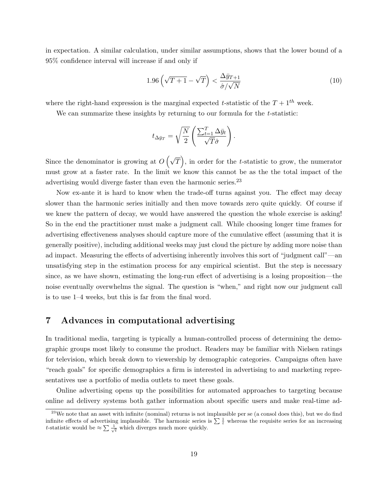in expectation. A similar calculation, under similar assumptions, shows that the lower bound of a 95% confidence interval will increase if and only if

$$
1.96\left(\sqrt{T+1} - \sqrt{T}\right) < \frac{\Delta\bar{y}_{T+1}}{\hat{\sigma}/\sqrt{N}}\tag{10}
$$

where the right-hand expression is the marginal expected *t*-statistic of the  $T + 1^{th}$  week.

We can summarize these insights by returning to our formula for the *t*-statistic:

$$
t_{\Delta \bar{y}_T} = \sqrt{\frac{N}{2}} \left( \frac{\sum_{t=1}^T \Delta \bar{y}_t}{\sqrt{T} \hat{\sigma}} \right).
$$

Since the denominator is growing at  $O(\sqrt{T})$ , in order for the *t*-statistic to grow, the numerator must grow at a faster rate. In the limit we know this cannot be as the the total impact of the advertising would diverge faster than even the harmonic series.<sup>23</sup>

Now ex-ante it is hard to know when the trade-off turns against you. The effect may decay slower than the harmonic series initially and then move towards zero quite quickly. Of course if we knew the pattern of decay, we would have answered the question the whole exercise is asking! So in the end the practitioner must make a judgment call. While choosing longer time frames for advertising effectiveness analyses should capture more of the cumulative effect (assuming that it is generally positive), including additional weeks may just cloud the picture by adding more noise than ad impact. Measuring the effects of advertising inherently involves this sort of "judgment call"—an unsatisfying step in the estimation process for any empirical scientist. But the step is necessary since, as we have shown, estimating the long-run effect of advertising is a losing proposition—the noise eventually overwhelms the signal. The question is "when," and right now our judgment call is to use 1–4 weeks, but this is far from the final word.

### 7 Advances in computational advertising

In traditional media, targeting is typically a human-controlled process of determining the demographic groups most likely to consume the product. Readers may be familiar with Nielsen ratings for television, which break down to viewership by demographic categories. Campaigns often have "reach goals" for specific demographics a firm is interested in advertising to and marketing representatives use a portfolio of media outlets to meet these goals.

Online advertising opens up the possibilities for automated approaches to targeting because online ad delivery systems both gather information about specific users and make real-time ad-

 $23$ We note that an asset with infinite (nominal) returns is not implausible per se (a consol does this), but we do find infinite effects of advertising implausible. The harmonic series is  $\sum \frac{1}{t}$  whereas the requisite series for an increasing *t*-statistic would be  $\approx \sum \frac{1}{\sqrt{t}}$  which diverges much more quickly.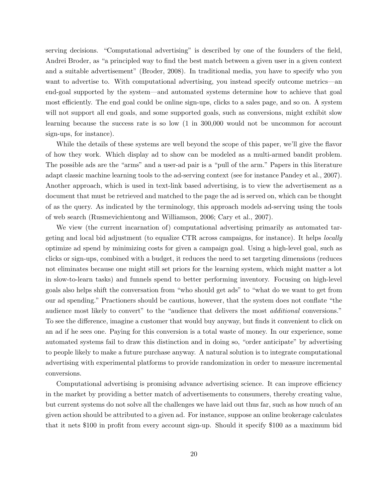serving decisions. "Computational advertising" is described by one of the founders of the field, Andrei Broder, as "a principled way to find the best match between a given user in a given context and a suitable advertisement" (Broder, 2008). In traditional media, you have to specify who you want to advertise to. With computational advertising, you instead specify outcome metrics—an end-goal supported by the system—and automated systems determine how to achieve that goal most efficiently. The end goal could be online sign-ups, clicks to a sales page, and so on. A system will not support all end goals, and some supported goals, such as conversions, might exhibit slow learning because the success rate is so low (1 in 300,000 would not be uncommon for account sign-ups, for instance).

While the details of these systems are well beyond the scope of this paper, we'll give the flavor of how they work. Which display ad to show can be modeled as a multi-armed bandit problem. The possible ads are the "arms" and a user-ad pair is a "pull of the arm." Papers in this literature adapt classic machine learning tools to the ad-serving context (see for instance Pandey et al., 2007). Another approach, which is used in text-link based advertising, is to view the advertisement as a document that must be retrieved and matched to the page the ad is served on, which can be thought of as the query. As indicated by the terminology, this approach models ad-serving using the tools of web search (Rusmevichientong and Williamson, 2006; Cary et al., 2007).

We view (the current incarnation of) computational advertising primarily as automated targeting and local bid adjustment (to equalize CTR across campaigns, for instance). It helps *locally* optimize ad spend by minimizing costs for given a campaign goal. Using a high-level goal, such as clicks or sign-ups, combined with a budget, it reduces the need to set targeting dimensions (reduces not eliminates because one might still set priors for the learning system, which might matter a lot in slow-to-learn tasks) and funnels spend to better performing inventory. Focusing on high-level goals also helps shift the conversation from "who should get ads" to "what do we want to get from our ad spending." Practioners should be cautious, however, that the system does not conflate "the audience most likely to convert" to the "audience that delivers the most *additional* conversions." To see the difference, imagine a customer that would buy anyway, but finds it convenient to click on an ad if he sees one. Paying for this conversion is a total waste of money. In our experience, some automated systems fail to draw this distinction and in doing so, "order anticipate" by advertising to people likely to make a future purchase anyway. A natural solution is to integrate computational advertising with experimental platforms to provide randomization in order to measure incremental conversions.

Computational advertising is promising advance advertising science. It can improve efficiency in the market by providing a better match of advertisements to consumers, thereby creating value, but current systems do not solve all the challenges we have laid out thus far, such as how much of an given action should be attributed to a given ad. For instance, suppose an online brokerage calculates that it nets \$100 in profit from every account sign-up. Should it specify \$100 as a maximum bid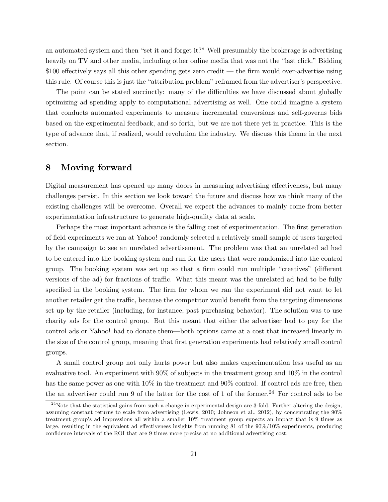an automated system and then "set it and forget it?" Well presumably the brokerage is advertising heavily on TV and other media, including other online media that was not the "last click." Bidding  $$100$  effectively says all this other spending gets zero credit — the firm would over-advertise using this rule. Of course this is just the "attribution problem" reframed from the advertiser's perspective.

The point can be stated succinctly: many of the difficulties we have discussed about globally optimizing ad spending apply to computational advertising as well. One could imagine a system that conducts automated experiments to measure incremental conversions and self-governs bids based on the experimental feedback, and so forth, but we are not there yet in practice. This is the type of advance that, if realized, would revolution the industry. We discuss this theme in the next section.

#### 8 Moving forward

Digital measurement has opened up many doors in measuring advertising effectiveness, but many challenges persist. In this section we look toward the future and discuss how we think many of the existing challenges will be overcome. Overall we expect the advances to mainly come from better experimentation infrastructure to generate high-quality data at scale.

Perhaps the most important advance is the falling cost of experimentation. The first generation of field experiments we ran at Yahoo! randomly selected a relatively small sample of users targeted by the campaign to see an unrelated advertisement. The problem was that an unrelated ad had to be entered into the booking system and run for the users that were randomized into the control group. The booking system was set up so that a firm could run multiple "creatives" (different versions of the ad) for fractions of traffic. What this meant was the unrelated ad had to be fully specified in the booking system. The firm for whom we ran the experiment did not want to let another retailer get the traffic, because the competitor would benefit from the targeting dimensions set up by the retailer (including, for instance, past purchasing behavior). The solution was to use charity ads for the control group. But this meant that either the advertiser had to pay for the control ads or Yahoo! had to donate them—both options came at a cost that increased linearly in the size of the control group, meaning that first generation experiments had relatively small control groups.

A small control group not only hurts power but also makes experimentation less useful as an evaluative tool. An experiment with 90% of subjects in the treatment group and 10% in the control has the same power as one with  $10\%$  in the treatment and  $90\%$  control. If control ads are free, then the an advertiser could run 9 of the latter for the cost of 1 of the former.<sup>24</sup> For control ads to be

 $^{24}$ Note that the statistical gains from such a change in experimental design are 3-fold. Further altering the design, assuming constant returns to scale from advertising (Lewis, 2010; Johnson et al., 2012), by concentrating the 90% treatment group's ad impressions all within a smaller 10% treatment group expects an impact that is 9 times as large, resulting in the equivalent ad effectiveness insights from running 81 of the  $90\%/10\%$  experiments, producing confidence intervals of the ROI that are 9 times more precise at no additional advertising cost.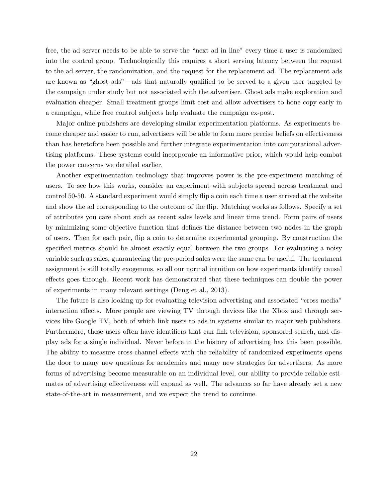free, the ad server needs to be able to serve the "next ad in line" every time a user is randomized into the control group. Technologically this requires a short serving latency between the request to the ad server, the randomization, and the request for the replacement ad. The replacement ads are known as "ghost ads"—ads that naturally qualified to be served to a given user targeted by the campaign under study but not associated with the advertiser. Ghost ads make exploration and evaluation cheaper. Small treatment groups limit cost and allow advertisers to hone copy early in a campaign, while free control subjects help evaluate the campaign ex-post.

Major online publishers are developing similar experimentation platforms. As experiments become cheaper and easier to run, advertisers will be able to form more precise beliefs on effectiveness than has heretofore been possible and further integrate experimentation into computational advertising platforms. These systems could incorporate an informative prior, which would help combat the power concerns we detailed earlier.

Another experimentation technology that improves power is the pre-experiment matching of users. To see how this works, consider an experiment with subjects spread across treatment and control 50-50. A standard experiment would simply flip a coin each time a user arrived at the website and show the ad corresponding to the outcome of the flip. Matching works as follows. Specify a set of attributes you care about such as recent sales levels and linear time trend. Form pairs of users by minimizing some objective function that defines the distance between two nodes in the graph of users. Then for each pair, flip a coin to determine experimental grouping. By construction the specified metrics should be almost exactly equal between the two groups. For evaluating a noisy variable such as sales, guaranteeing the pre-period sales were the same can be useful. The treatment assignment is still totally exogenous, so all our normal intuition on how experiments identify causal effects goes through. Recent work has demonstrated that these techniques can double the power of experiments in many relevant settings (Deng et al., 2013).

The future is also looking up for evaluating television advertising and associated "cross media" interaction effects. More people are viewing TV through devices like the Xbox and through services like Google TV, both of which link users to ads in systems similar to major web publishers. Furthermore, these users often have identifiers that can link television, sponsored search, and display ads for a single individual. Never before in the history of advertising has this been possible. The ability to measure cross-channel effects with the reliability of randomized experiments opens the door to many new questions for academics and many new strategies for advertisers. As more forms of advertising become measurable on an individual level, our ability to provide reliable estimates of advertising effectiveness will expand as well. The advances so far have already set a new state-of-the-art in measurement, and we expect the trend to continue.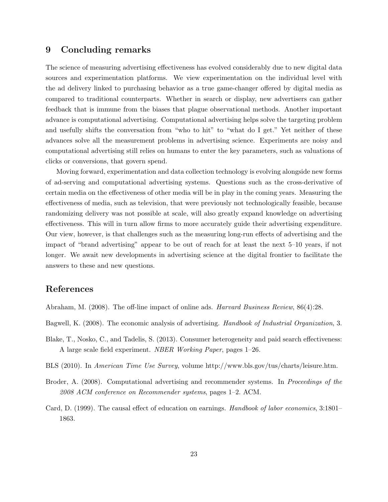# 9 Concluding remarks

The science of measuring advertising effectiveness has evolved considerably due to new digital data sources and experimentation platforms. We view experimentation on the individual level with the ad delivery linked to purchasing behavior as a true game-changer offered by digital media as compared to traditional counterparts. Whether in search or display, new advertisers can gather feedback that is immune from the biases that plague observational methods. Another important advance is computational advertising. Computational advertising helps solve the targeting problem and usefully shifts the conversation from "who to hit" to "what do I get." Yet neither of these advances solve all the measurement problems in advertising science. Experiments are noisy and computational advertising still relies on humans to enter the key parameters, such as valuations of clicks or conversions, that govern spend.

Moving forward, experimentation and data collection technology is evolving alongside new forms of ad-serving and computational advertising systems. Questions such as the cross-derivative of certain media on the effectiveness of other media will be in play in the coming years. Measuring the effectiveness of media, such as television, that were previously not technologically feasible, because randomizing delivery was not possible at scale, will also greatly expand knowledge on advertising effectiveness. This will in turn allow firms to more accurately guide their advertising expenditure. Our view, however, is that challenges such as the measuring long-run effects of advertising and the impact of "brand advertising" appear to be out of reach for at least the next 5–10 years, if not longer. We await new developments in advertising science at the digital frontier to facilitate the answers to these and new questions.

# References

Abraham, M. (2008). The off-line impact of online ads. *Harvard Business Review*, 86(4):28.

Bagwell, K. (2008). The economic analysis of advertising. *Handbook of Industrial Organization*, 3.

- Blake, T., Nosko, C., and Tadelis, S. (2013). Consumer heterogeneity and paid search effectiveness: A large scale field experiment. *NBER Working Paper*, pages 1–26.
- BLS (2010). In *American Time Use Survey*, volume http://www.bls.gov/tus/charts/leisure.htm.
- Broder, A. (2008). Computational advertising and recommender systems. In *Proceedings of the 2008 ACM conference on Recommender systems*, pages 1–2. ACM.
- Card, D. (1999). The causal effect of education on earnings. *Handbook of labor economics*, 3:1801– 1863.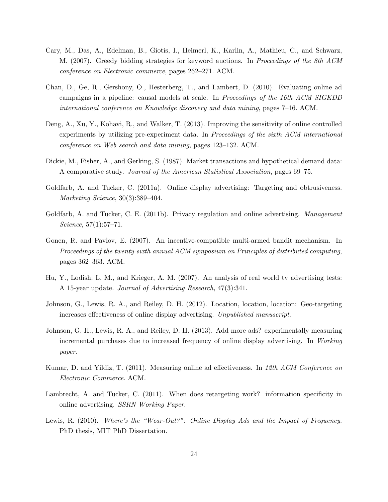- Cary, M., Das, A., Edelman, B., Giotis, I., Heimerl, K., Karlin, A., Mathieu, C., and Schwarz, M. (2007). Greedy bidding strategies for keyword auctions. In *Proceedings of the 8th ACM conference on Electronic commerce*, pages 262–271. ACM.
- Chan, D., Ge, R., Gershony, O., Hesterberg, T., and Lambert, D. (2010). Evaluating online ad campaigns in a pipeline: causal models at scale. In *Proceedings of the 16th ACM SIGKDD international conference on Knowledge discovery and data mining*, pages 7–16. ACM.
- Deng, A., Xu, Y., Kohavi, R., and Walker, T. (2013). Improving the sensitivity of online controlled experiments by utilizing pre-experiment data. In *Proceedings of the sixth ACM international conference on Web search and data mining*, pages 123–132. ACM.
- Dickie, M., Fisher, A., and Gerking, S. (1987). Market transactions and hypothetical demand data: A comparative study. *Journal of the American Statistical Association*, pages 69–75.
- Goldfarb, A. and Tucker, C. (2011a). Online display advertising: Targeting and obtrusiveness. *Marketing Science*, 30(3):389–404.
- Goldfarb, A. and Tucker, C. E. (2011b). Privacy regulation and online advertising. *Management Science*, 57(1):57–71.
- Gonen, R. and Pavlov, E. (2007). An incentive-compatible multi-armed bandit mechanism. In *Proceedings of the twenty-sixth annual ACM symposium on Principles of distributed computing*, pages 362–363. ACM.
- Hu, Y., Lodish, L. M., and Krieger, A. M. (2007). An analysis of real world tv advertising tests: A 15-year update. *Journal of Advertising Research*, 47(3):341.
- Johnson, G., Lewis, R. A., and Reiley, D. H. (2012). Location, location, location: Geo-targeting increases effectiveness of online display advertising. *Unpublished manuscript*.
- Johnson, G. H., Lewis, R. A., and Reiley, D. H. (2013). Add more ads? experimentally measuring incremental purchases due to increased frequency of online display advertising. In *Working paper*.
- Kumar, D. and Yildiz, T. (2011). Measuring online ad effectiveness. In 12th ACM Conference on *Electronic Commerce*. ACM.
- Lambrecht, A. and Tucker, C. (2011). When does retargeting work? information specificity in online advertising. *SSRN Working Paper*.
- Lewis, R. (2010). *Where's the "Wear-Out?": Online Display Ads and the Impact of Frequency*. PhD thesis, MIT PhD Dissertation.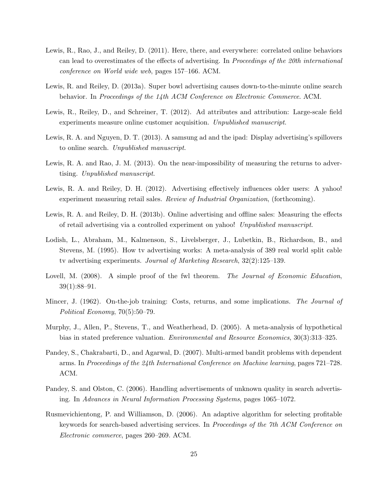- Lewis, R., Rao, J., and Reiley, D. (2011). Here, there, and everywhere: correlated online behaviors can lead to overestimates of the effects of advertising. In *Proceedings of the 20th international conference on World wide web*, pages 157–166. ACM.
- Lewis, R. and Reiley, D. (2013a). Super bowl advertising causes down-to-the-minute online search behavior. In *Proceedings of the 14th ACM Conference on Electronic Commerce*. ACM.
- Lewis, R., Reiley, D., and Schreiner, T. (2012). Ad attributes and attribution: Large-scale field experiments measure online customer acquisition. *Unpublished manuscript*.
- Lewis, R. A. and Nguyen, D. T. (2013). A samsung ad and the ipad: Display advertising's spillovers to online search. *Unpublished manuscript*.
- Lewis, R. A. and Rao, J. M. (2013). On the near-impossibility of measuring the returns to advertising. *Unpublished manuscript*.
- Lewis, R. A. and Reiley, D. H. (2012). Advertising effectively influences older users: A yahoo! experiment measuring retail sales. *Review of Industrial Organization*, (forthcoming).
- Lewis, R. A. and Reiley, D. H. (2013b). Online advertising and offline sales: Measuring the effects of retail advertising via a controlled experiment on yahoo! *Unpublished manuscript*.
- Lodish, L., Abraham, M., Kalmenson, S., Livelsberger, J., Lubetkin, B., Richardson, B., and Stevens, M. (1995). How tv advertising works: A meta-analysis of 389 real world split cable tv advertising experiments. *Journal of Marketing Research*, 32(2):125–139.
- Lovell, M. (2008). A simple proof of the fwl theorem. *The Journal of Economic Education*, 39(1):88–91.
- Mincer, J. (1962). On-the-job training: Costs, returns, and some implications. *The Journal of Political Economy*, 70(5):50–79.
- Murphy, J., Allen, P., Stevens, T., and Weatherhead, D. (2005). A meta-analysis of hypothetical bias in stated preference valuation. *Environmental and Resource Economics*, 30(3):313–325.
- Pandey, S., Chakrabarti, D., and Agarwal, D. (2007). Multi-armed bandit problems with dependent arms. In *Proceedings of the 24th International Conference on Machine learning*, pages 721–728. ACM.
- Pandey, S. and Olston, C. (2006). Handling advertisements of unknown quality in search advertising. In *Advances in Neural Information Processing Systems*, pages 1065–1072.
- Rusmevichientong, P. and Williamson, D. (2006). An adaptive algorithm for selecting profitable keywords for search-based advertising services. In *Proceedings of the 7th ACM Conference on Electronic commerce*, pages 260–269. ACM.